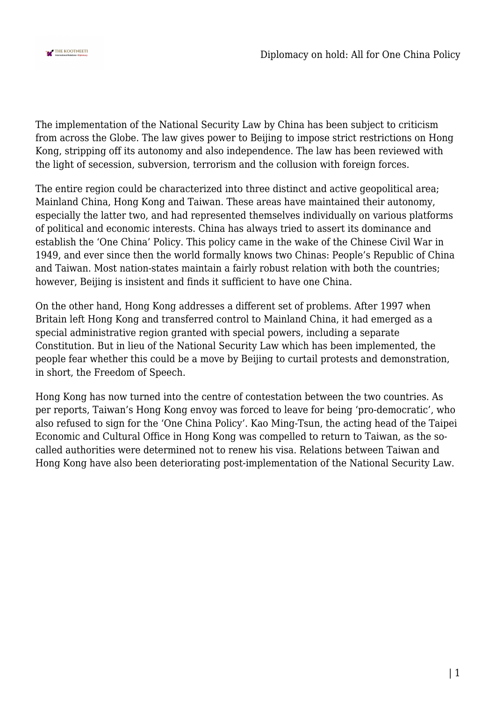

The implementation of the National Security Law by China has been subject to criticism from across the Globe. The law gives power to Beijing to impose strict restrictions on Hong Kong, stripping off its autonomy and also independence. The law has been reviewed with the light of secession, subversion, terrorism and the collusion with foreign forces.

The entire region could be characterized into three distinct and active geopolitical area; Mainland China, Hong Kong and Taiwan. These areas have maintained their autonomy, especially the latter two, and had represented themselves individually on various platforms of political and economic interests. China has always tried to assert its dominance and establish the 'One China' Policy. This policy came in the wake of the Chinese Civil War in 1949, and ever since then the world formally knows two Chinas: People's Republic of China and Taiwan. Most nation-states maintain a fairly robust relation with both the countries; however, Beijing is insistent and finds it sufficient to have one China.

On the other hand, Hong Kong addresses a different set of problems. After 1997 when Britain left Hong Kong and transferred control to Mainland China, it had emerged as a special administrative region granted with special powers, including a separate Constitution. But in lieu of the National Security Law which has been implemented, the people fear whether this could be a move by Beijing to curtail protests and demonstration, in short, the Freedom of Speech.

Hong Kong has now turned into the centre of contestation between the two countries. As per reports, Taiwan's Hong Kong envoy was forced to leave for being 'pro-democratic', who also refused to sign for the 'One China Policy'. Kao Ming-Tsun, the acting head of the Taipei Economic and Cultural Office in Hong Kong was compelled to return to Taiwan, as the socalled authorities were determined not to renew his visa. Relations between Taiwan and Hong Kong have also been deteriorating post-implementation of the National Security Law.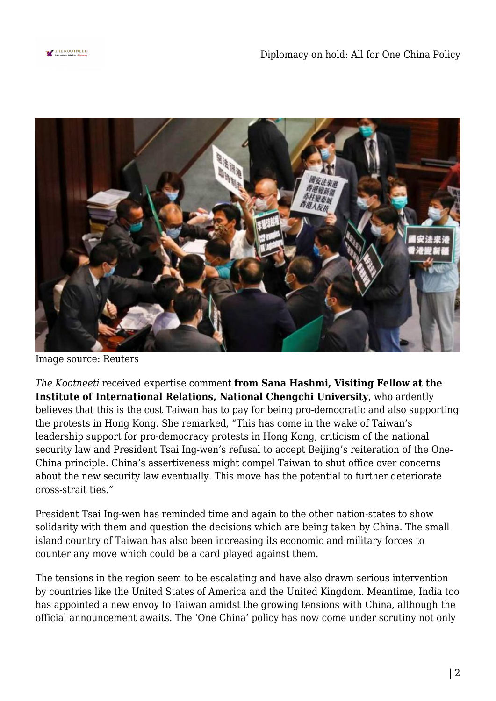



Image source: Reuters

*The Kootneeti* received expertise comment **from Sana Hashmi, Visiting Fellow at the Institute of International Relations, National Chengchi University**, who ardently believes that this is the cost Taiwan has to pay for being pro-democratic and also supporting the protests in Hong Kong. She remarked, "This has come in the wake of Taiwan's leadership support for pro-democracy protests in Hong Kong, criticism of the national security law and President Tsai Ing-wen's refusal to accept Beijing's reiteration of the One-China principle. China's assertiveness might compel Taiwan to shut office over concerns about the new security law eventually. This move has the potential to further deteriorate cross-strait ties."

President Tsai Ing-wen has reminded time and again to the other nation-states to show solidarity with them and question the decisions which are being taken by China. The small island country of Taiwan has also been increasing its economic and military forces to counter any move which could be a card played against them.

The tensions in the region seem to be escalating and have also drawn serious intervention by countries like the United States of America and the United Kingdom. Meantime, India too has appointed a new envoy to Taiwan amidst the growing tensions with China, although the official announcement awaits. The 'One China' policy has now come under scrutiny not only